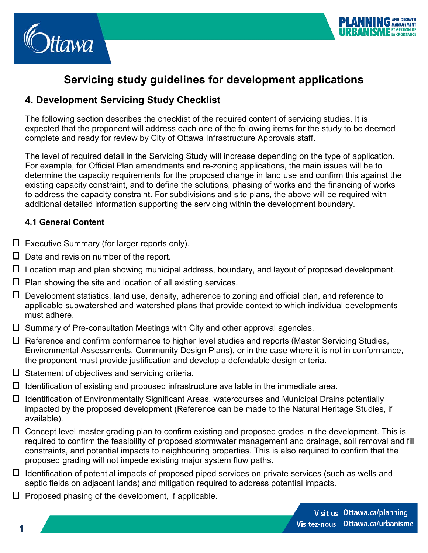



# **Servicing study guidelines for development applications**

# **4. Development Servicing Study Checklist**

The following section describes the checklist of the required content of servicing studies. It is expected that the proponent will address each one of the following items for the study to be deemed complete and ready for review by City of Ottawa Infrastructure Approvals staff.

The level of required detail in the Servicing Study will increase depending on the type of application. For example, for Official Plan amendments and re-zoning applications, the main issues will be to determine the capacity requirements for the proposed change in land use and confirm this against the existing capacity constraint, and to define the solutions, phasing of works and the financing of works to address the capacity constraint. For subdivisions and site plans, the above will be required with additional detailed information supporting the servicing within the development boundary.

#### **4.1 General Content**

- $\square$  Executive Summary (for larger reports only).
- $\Box$  Date and revision number of the report.
- Location map and plan showing municipal address, boundary, and layout of proposed development.
- $\Box$  Plan showing the site and location of all existing services.
- Development statistics, land use, density, adherence to zoning and official plan, and reference to applicable subwatershed and watershed plans that provide context to which individual developments must adhere.
- Summary of Pre-consultation Meetings with City and other approval agencies.
- $\Box$  Reference and confirm conformance to higher level studies and reports (Master Servicing Studies, Environmental Assessments, Community Design Plans), or in the case where it is not in conformance, the proponent must provide justification and develop a defendable design criteria.
- $\Box$  Statement of objectives and servicing criteria.
- $\Box$  Identification of existing and proposed infrastructure available in the immediate area.
- Identification of Environmentally Significant Areas, watercourses and Municipal Drains potentially impacted by the proposed development (Reference can be made to the Natural Heritage Studies, if available).
- $\Box$  Concept level master grading plan to confirm existing and proposed grades in the development. This is required to confirm the feasibility of proposed stormwater management and drainage, soil removal and fill constraints, and potential impacts to neighbouring properties. This is also required to confirm that the proposed grading will not impede existing major system flow paths.
- $\Box$  Identification of potential impacts of proposed piped services on private services (such as wells and septic fields on adjacent lands) and mitigation required to address potential impacts.
- $\Box$  Proposed phasing of the development, if applicable.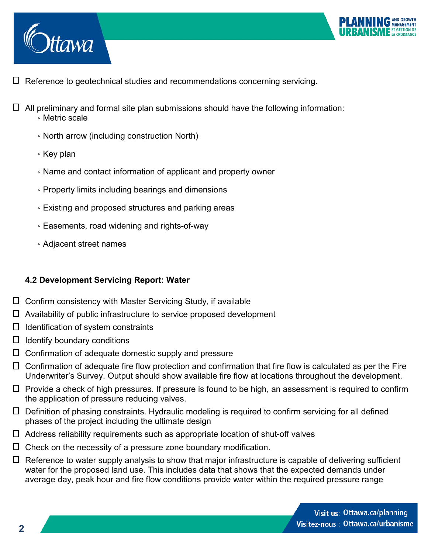



- $\Box$  Reference to geotechnical studies and recommendations concerning servicing.
- $\Box$  All preliminary and formal site plan submissions should have the following information: ◦ Metric scale
	- North arrow (including construction North)
	- Key plan
	- Name and contact information of applicant and property owner
	- Property limits including bearings and dimensions
	- Existing and proposed structures and parking areas
	- Easements, road widening and rights-of-way
	- Adjacent street names

#### **4.2 Development Servicing Report: Water**

- Confirm consistency with Master Servicing Study, if available
- Availability of public infrastructure to service proposed development
- $\Box$  Identification of system constraints
- $\Box$  Identify boundary conditions
- Confirmation of adequate domestic supply and pressure
- Confirmation of adequate fire flow protection and confirmation that fire flow is calculated as per the Fire Underwriter's Survey. Output should show available fire flow at locations throughout the development.
- $\Box$  Provide a check of high pressures. If pressure is found to be high, an assessment is required to confirm the application of pressure reducing valves.
- Definition of phasing constraints. Hydraulic modeling is required to confirm servicing for all defined phases of the project including the ultimate design
- Address reliability requirements such as appropriate location of shut-off valves
- Check on the necessity of a pressure zone boundary modification.
- $\Box$  Reference to water supply analysis to show that major infrastructure is capable of delivering sufficient water for the proposed land use. This includes data that shows that the expected demands under average day, peak hour and fire flow conditions provide water within the required pressure range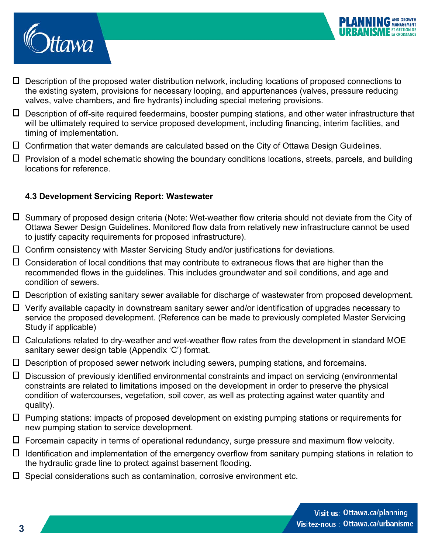



- Description of the proposed water distribution network, including locations of proposed connections to the existing system, provisions for necessary looping, and appurtenances (valves, pressure reducing valves, valve chambers, and fire hydrants) including special metering provisions.
- Description of off-site required feedermains, booster pumping stations, and other water infrastructure that will be ultimately required to service proposed development, including financing, interim facilities, and timing of implementation.
- Confirmation that water demands are calculated based on the City of Ottawa Design Guidelines.
- $\Box$  Provision of a model schematic showing the boundary conditions locations, streets, parcels, and building locations for reference.

#### **4.3 Development Servicing Report: Wastewater**

- Summary of proposed design criteria (Note: Wet-weather flow criteria should not deviate from the City of Ottawa Sewer Design Guidelines. Monitored flow data from relatively new infrastructure cannot be used to justify capacity requirements for proposed infrastructure).
- Confirm consistency with Master Servicing Study and/or justifications for deviations.
- Consideration of local conditions that may contribute to extraneous flows that are higher than the recommended flows in the guidelines. This includes groundwater and soil conditions, and age and condition of sewers.
- Description of existing sanitary sewer available for discharge of wastewater from proposed development.
- Verify available capacity in downstream sanitary sewer and/or identification of upgrades necessary to service the proposed development. (Reference can be made to previously completed Master Servicing Study if applicable)
- Calculations related to dry-weather and wet-weather flow rates from the development in standard MOE sanitary sewer design table (Appendix 'C') format.
- Description of proposed sewer network including sewers, pumping stations, and forcemains.
- Discussion of previously identified environmental constraints and impact on servicing (environmental constraints are related to limitations imposed on the development in order to preserve the physical condition of watercourses, vegetation, soil cover, as well as protecting against water quantity and quality).
- Pumping stations: impacts of proposed development on existing pumping stations or requirements for new pumping station to service development.
- Forcemain capacity in terms of operational redundancy, surge pressure and maximum flow velocity.
- $\Box$  Identification and implementation of the emergency overflow from sanitary pumping stations in relation to the hydraulic grade line to protect against basement flooding.
- $\Box$  Special considerations such as contamination, corrosive environment etc.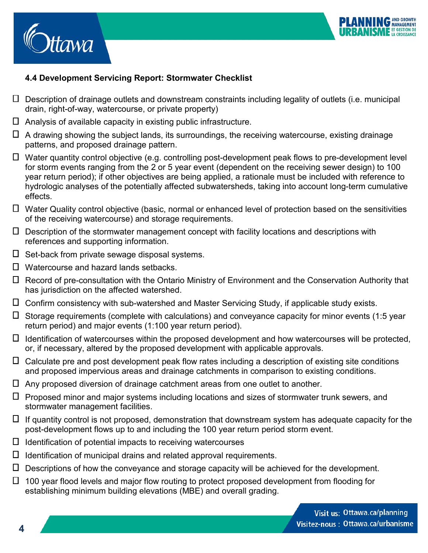



# **4.4 Development Servicing Report: Stormwater Checklist**

- $\Box$  Description of drainage outlets and downstream constraints including legality of outlets (i.e. municipal drain, right-of-way, watercourse, or private property)
- $\Box$  Analysis of available capacity in existing public infrastructure.
- $\Box$  A drawing showing the subject lands, its surroundings, the receiving watercourse, existing drainage patterns, and proposed drainage pattern.
- Water quantity control objective (e.g. controlling post-development peak flows to pre-development level for storm events ranging from the 2 or 5 year event (dependent on the receiving sewer design) to 100 year return period); if other objectives are being applied, a rationale must be included with reference to hydrologic analyses of the potentially affected subwatersheds, taking into account long-term cumulative effects.
- Water Quality control objective (basic, normal or enhanced level of protection based on the sensitivities of the receiving watercourse) and storage requirements.
- $\Box$  Description of the stormwater management concept with facility locations and descriptions with references and supporting information.
- $\Box$  Set-back from private sewage disposal systems.
- Watercourse and hazard lands setbacks.
- $\Box$  Record of pre-consultation with the Ontario Ministry of Environment and the Conservation Authority that has jurisdiction on the affected watershed.
- Confirm consistency with sub-watershed and Master Servicing Study, if applicable study exists.
- $\Box$  Storage requirements (complete with calculations) and conveyance capacity for minor events (1:5 year return period) and major events (1:100 year return period).
- $\Box$  Identification of watercourses within the proposed development and how watercourses will be protected, or, if necessary, altered by the proposed development with applicable approvals.
- $\Box$  Calculate pre and post development peak flow rates including a description of existing site conditions and proposed impervious areas and drainage catchments in comparison to existing conditions.
- $\Box$  Any proposed diversion of drainage catchment areas from one outlet to another.
- $\Box$  Proposed minor and major systems including locations and sizes of stormwater trunk sewers, and stormwater management facilities.
- $\Box$  If quantity control is not proposed, demonstration that downstream system has adequate capacity for the post-development flows up to and including the 100 year return period storm event.
- $\Box$  Identification of potential impacts to receiving watercourses
- $\Box$  Identification of municipal drains and related approval requirements.
- $\Box$  Descriptions of how the conveyance and storage capacity will be achieved for the development.
- $\Box$  100 year flood levels and major flow routing to protect proposed development from flooding for establishing minimum building elevations (MBE) and overall grading.

**4**